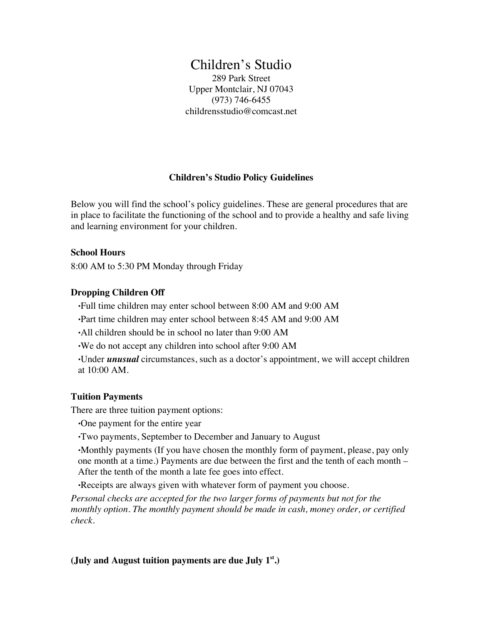# Children's Studio

289 Park Street Upper Montclair, NJ 07043 (973) 746-6455 childrensstudio@comcast.net

## **Children's Studio Policy Guidelines**

Below you will find the school's policy guidelines. These are general procedures that are in place to facilitate the functioning of the school and to provide a healthy and safe living and learning environment for your children.

#### **School Hours**

8:00 AM to 5:30 PM Monday through Friday

### **Dropping Children Off**

•Full time children may enter school between 8:00 AM and 9:00 AM

- •Part time children may enter school between 8:45 AM and 9:00 AM
- •All children should be in school no later than 9:00 AM
- •We do not accept any children into school after 9:00 AM
- •Under *unusual* circumstances, such as a doctor's appointment, we will accept children at 10:00 AM.

#### **Tuition Payments**

There are three tuition payment options:

- •One payment for the entire year
- •Two payments, September to December and January to August

•Monthly payments (If you have chosen the monthly form of payment, please, pay only one month at a time.) Payments are due between the first and the tenth of each month – After the tenth of the month a late fee goes into effect.

•Receipts are always given with whatever form of payment you choose.

*Personal checks are accepted for the two larger forms of payments but not for the monthly option. The monthly payment should be made in cash, money order, or certified check.*

#### **(July and August tuition payments are due July 1st.)**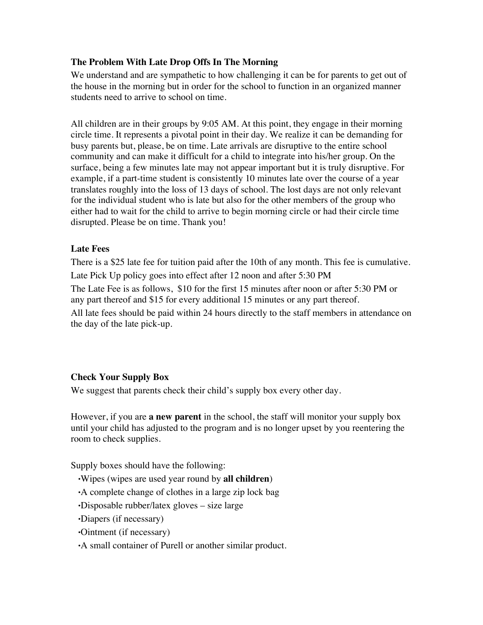## **The Problem With Late Drop Offs In The Morning**

We understand and are sympathetic to how challenging it can be for parents to get out of the house in the morning but in order for the school to function in an organized manner students need to arrive to school on time.

All children are in their groups by 9:05 AM. At this point, they engage in their morning circle time. It represents a pivotal point in their day. We realize it can be demanding for busy parents but, please, be on time. Late arrivals are disruptive to the entire school community and can make it difficult for a child to integrate into his/her group. On the surface, being a few minutes late may not appear important but it is truly disruptive. For example, if a part-time student is consistently 10 minutes late over the course of a year translates roughly into the loss of 13 days of school. The lost days are not only relevant for the individual student who is late but also for the other members of the group who either had to wait for the child to arrive to begin morning circle or had their circle time disrupted. Please be on time. Thank you!

## **Late Fees**

There is a \$25 late fee for tuition paid after the 10th of any month. This fee is cumulative. Late Pick Up policy goes into effect after 12 noon and after 5:30 PM The Late Fee is as follows, \$10 for the first 15 minutes after noon or after 5:30 PM or any part thereof and \$15 for every additional 15 minutes or any part thereof. All late fees should be paid within 24 hours directly to the staff members in attendance on the day of the late pick-up.

## **Check Your Supply Box**

We suggest that parents check their child's supply box every other day.

However, if you are **a new parent** in the school, the staff will monitor your supply box until your child has adjusted to the program and is no longer upset by you reentering the room to check supplies.

Supply boxes should have the following:

- •Wipes (wipes are used year round by **all children**)
- •A complete change of clothes in a large zip lock bag
- •Disposable rubber/latex gloves size large
- •Diapers (if necessary)
- •Ointment (if necessary)
- •A small container of Purell or another similar product.